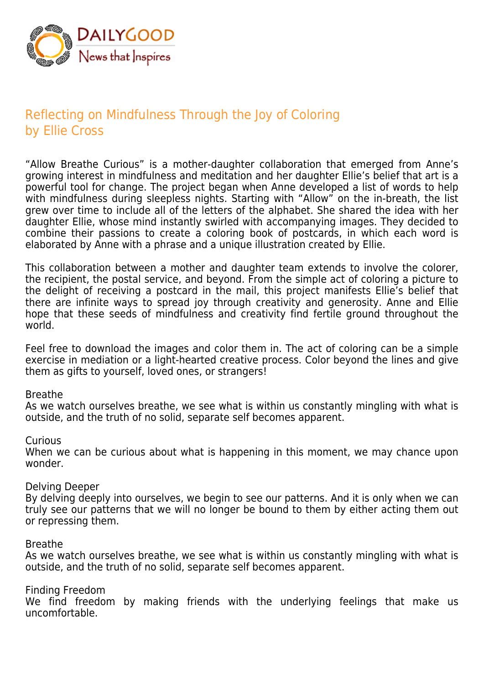

# Reflecting on Mindfulness Through the Joy of Coloring by Ellie Cross

"Allow Breathe Curious" is a mother-daughter collaboration that emerged from Anne's growing interest in mindfulness and meditation and her daughter Ellie's belief that art is a powerful tool for change. The project began when Anne developed a list of words to help with mindfulness during sleepless nights. Starting with "Allow" on the in-breath, the list grew over time to include all of the letters of the alphabet. She shared the idea with her daughter Ellie, whose mind instantly swirled with accompanying images. They decided to combine their passions to create a coloring book of postcards, in which each word is elaborated by Anne with a phrase and a unique illustration created by Ellie.

This collaboration between a mother and daughter team extends to involve the colorer, the recipient, the postal service, and beyond. From the simple act of coloring a picture to the delight of receiving a postcard in the mail, this project manifests Ellie's belief that there are infinite ways to spread joy through creativity and generosity. Anne and Ellie hope that these seeds of mindfulness and creativity find fertile ground throughout the world.

Feel free to download the images and color them in. The act of coloring can be a simple exercise in mediation or a light-hearted creative process. Color beyond the lines and give them as gifts to yourself, loved ones, or strangers!

# Breathe

As we watch ourselves breathe, we see what is within us constantly mingling with what is outside, and the truth of no solid, separate self becomes apparent.

### Curious

When we can be curious about what is happening in this moment, we may chance upon wonder.

### Delving Deeper

By delving deeply into ourselves, we begin to see our patterns. And it is only when we can truly see our patterns that we will no longer be bound to them by either acting them out or repressing them.

### Breathe

As we watch ourselves breathe, we see what is within us constantly mingling with what is outside, and the truth of no solid, separate self becomes apparent.

# Finding Freedom

We find freedom by making friends with the underlying feelings that make us uncomfortable.